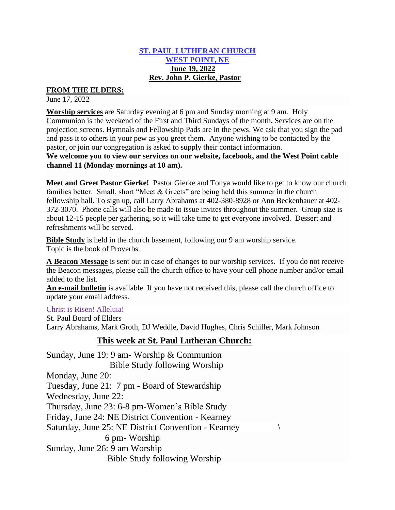#### **ST. PAUL LUTHERAN CHURCH WEST POINT, NE June 19, 2022 Rev. John P. Gierke, Pastor**

### **FROM THE ELDERS:**

June 17, 2022

**Worship services** are Saturday evening at 6 pm and Sunday morning at 9 am. Holy Communion is the weekend of the First and Third Sundays of the month**.** Services are on the projection screens. Hymnals and Fellowship Pads are in the pews. We ask that you sign the pad and pass it to others in your pew as you greet them. Anyone wishing to be contacted by the pastor, or join our congregation is asked to supply their contact information. **We welcome you to view our services on our website, facebook, and the West Point cable channel 11 (Monday mornings at 10 am).**

**Meet and Greet Pastor Gierke!** Pastor Gierke and Tonya would like to get to know our church families better. Small, short "Meet & Greets" are being held this summer in the church fellowship hall. To sign up, call Larry Abrahams at 402-380-8928 or Ann Beckenhauer at 402- 372-3070. Phone calls will also be made to issue invites throughout the summer. Group size is about 12-15 people per gathering, so it will take time to get everyone involved. Dessert and refreshments will be served.

**Bible Study** is held in the church basement, following our 9 am worship service. Topic is the book of Proverbs.

**A Beacon Message** is sent out in case of changes to our worship services. If you do not receive the Beacon messages, please call the church office to have your cell phone number and/or email added to the list.

**An e-mail bulletin** is available. If you have not received this, please call the church office to update your email address.

#### Christ is Risen! Alleluia!

St. Paul Board of Elders Larry Abrahams, Mark Groth, DJ Weddle, David Hughes, Chris Schiller, Mark Johnson

# **This week at St. Paul Lutheran Church:**

Sunday, June 19: 9 am- Worship & Communion Bible Study following Worship Monday, June 20: Tuesday, June 21: 7 pm - Board of Stewardship Wednesday, June 22: Thursday, June 23: 6-8 pm-Women's Bible Study Friday, June 24: NE District Convention - Kearney Saturday, June 25: NE District Convention - Kearney 6 pm- Worship Sunday, June 26: 9 am Worship Bible Study following Worship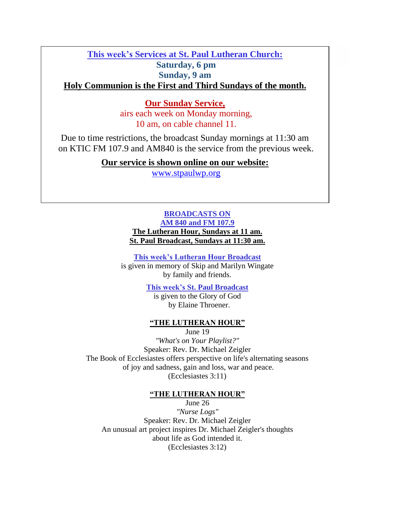# **This week's Services at St. Paul Lutheran Church: Saturday, 6 pm Sunday, 9 am Holy Communion is the First and Third Sundays of the month.**

## **Our Sunday Service,**

airs each week on Monday morning, 10 am, on cable channel 11.

Due to time restrictions, the broadcast Sunday mornings at 11:30 am on KTIC FM 107.9 and AM840 is the service from the previous week.

**Our service is shown online on our website:**

[www.stpaulwp.org](http://www.stpaulwp.org/)

### **BROADCASTS ON AM 840 and FM 107.9 The Lutheran Hour, Sundays at 11 am. St. Paul Broadcast, Sundays at 11:30 am.**

**This week's Lutheran Hour Broadcast** is given in memory of Skip and Marilyn Wingate by family and friends.

> **This week's St. Paul Broadcast** is given to the Glory of God by Elaine Throener.

#### **"THE LUTHERAN HOUR"**

June 19

*"What's on Your Playlist?"* Speaker: Rev. Dr. Michael Zeigler The Book of Ecclesiastes offers perspective on life's alternating seasons of joy and sadness, gain and loss, war and peace. (Ecclesiastes 3:11)

#### **"THE LUTHERAN HOUR"**

June 26 *"Nurse Logs"* Speaker: Rev. Dr. Michael Zeigler An unusual art project inspires Dr. Michael Zeigler's thoughts about life as God intended it. (Ecclesiastes 3:12)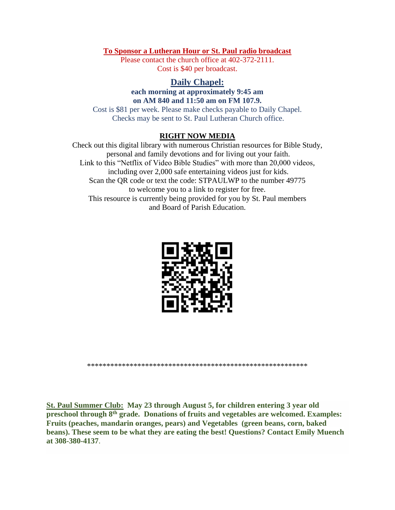#### **To Sponsor a Lutheran Hour or St. Paul radio broadcast**

Please contact the church office at 402-372-2111. Cost is \$40 per broadcast.

### **Daily Chapel:**

#### **each morning at approximately 9:45 am on AM 840 and 11:50 am on FM 107.9.**

Cost is \$81 per week. Please make checks payable to Daily Chapel. Checks may be sent to St. Paul Lutheran Church office.

#### **RIGHT NOW MEDIA**

Check out this digital library with numerous Christian resources for Bible Study, personal and family devotions and for living out your faith. Link to this "Netflix of Video Bible Studies" with more than 20,000 videos, including over 2,000 safe entertaining videos just for kids. Scan the QR code or text the code: STPAULWP to the number 49775 to welcome you to a link to register for free. This resource is currently being provided for you by St. Paul members and Board of Parish Education.



\*\*\*\*\*\*\*\*\*\*\*\*\*\*\*\*\*\*\*\*\*\*\*\*\*\*\*\*\*\*\*\*\*\*\*\*\*\*\*\*\*\*\*\*\*\*\*\*\*\*\*\*\*\*\*\*\*

**St. Paul Summer Club: May 23 through August 5, for children entering 3 year old preschool through 8th grade. Donations of fruits and vegetables are welcomed. Examples: Fruits (peaches, mandarin oranges, pears) and Vegetables (green beans, corn, baked beans). These seem to be what they are eating the best! Questions? Contact Emily Muench at 308-380-4137**.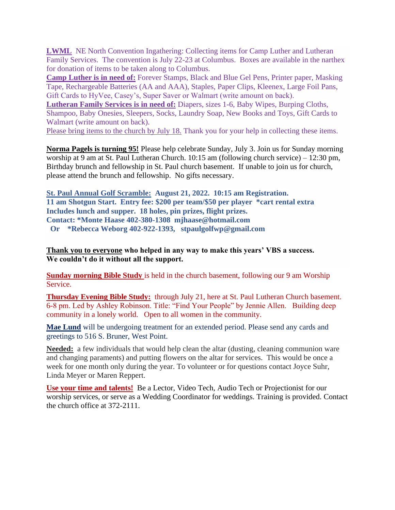**LWML** NE North Convention Ingathering: Collecting items for Camp Luther and Lutheran Family Services. The convention is July 22-23 at Columbus. Boxes are available in the narthex for donation of items to be taken along to Columbus.

**Camp Luther is in need of:** Forever Stamps, Black and Blue Gel Pens, Printer paper, Masking Tape, Rechargeable Batteries (AA and AAA), Staples, Paper Clips, Kleenex, Large Foil Pans, Gift Cards to HyVee, Casey's, Super Saver or Walmart (write amount on back).

**Lutheran Family Services is in need of:** Diapers, sizes 1-6, Baby Wipes, Burping Cloths, Shampoo, Baby Onesies, Sleepers, Socks, Laundry Soap, New Books and Toys, Gift Cards to Walmart (write amount on back).

Please bring items to the church by July 18. Thank you for your help in collecting these items.

**Norma Pagels is turning 95!** Please help celebrate Sunday, July 3. Join us for Sunday morning worship at 9 am at St. Paul Lutheran Church. 10:15 am (following church service) – 12:30 pm, Birthday brunch and fellowship in St. Paul church basement. If unable to join us for church, please attend the brunch and fellowship. No gifts necessary.

**St. Paul Annual Golf Scramble: August 21, 2022. 10:15 am Registration. 11 am Shotgun Start. Entry fee: \$200 per team/\$50 per player \*cart rental extra Includes lunch and supper. 18 holes, pin prizes, flight prizes. Contact: \*Monte Haase 402-380-1308 mjhaase@hotmail.com Or \*Rebecca Weborg 402-922-1393, stpaulgolfwp@gmail.com**

**Thank you to everyone who helped in any way to make this years' VBS a success. We couldn't do it without all the support.** 

**Sunday morning Bible Study** is held in the church basement, following our 9 am Worship Service.

**Thursday Evening Bible Study:** through July 21, here at St. Paul Lutheran Church basement. 6-8 pm. Led by Ashley Robinson. Title: "Find Your People" by Jennie Allen. Building deep community in a lonely world. Open to all women in the community.

**Mae Lund** will be undergoing treatment for an extended period. Please send any cards and greetings to 516 S. Bruner, West Point.

**Needed:** a few individuals that would help clean the altar (dusting, cleaning communion ware and changing paraments) and putting flowers on the altar for services. This would be once a week for one month only during the year. To volunteer or for questions contact Joyce Suhr, Linda Meyer or Maren Reppert.

**Use your time and talents!** Be a Lector, Video Tech, Audio Tech or Projectionist for our worship services, or serve as a Wedding Coordinator for weddings. Training is provided. Contact the church office at 372-2111.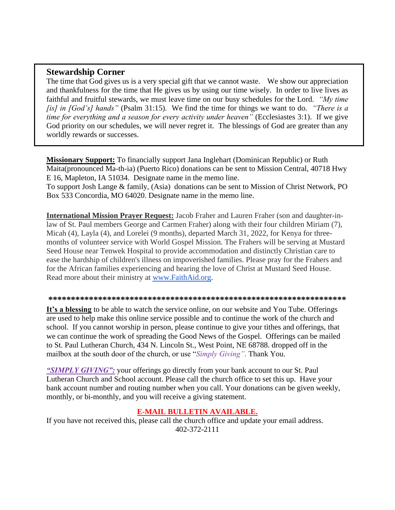### **Stewardship Corner**

The time that God gives us is a very special gift that we cannot waste. We show our appreciation and thankfulness for the time that He gives us by using our time wisely. In order to live lives as faithful and fruitful stewards, we must leave time on our busy schedules for the Lord. *"My time [is] in [God's] hands"* (Psalm 31:15). We find the time for things we want to do. *"There is a time for everything and a season for every activity under heaven"* (Ecclesiastes 3:1). If we give God priority on our schedules, we will never regret it. The blessings of God are greater than any worldly rewards or successes.

**Missionary Support:** To financially support Jana Inglehart (Dominican Republic) or Ruth Maita(pronounced Ma-th-ia) (Puerto Rico) donations can be sent to Mission Central, 40718 Hwy E 16, Mapleton, IA 51034. Designate name in the memo line.

To support Josh Lange & family, (Asia) donations can be sent to Mission of Christ Network, PO Box 533 Concordia, MO 64020. Designate name in the memo line.

**International Mission Prayer Request:** Jacob Fraher and Lauren Fraher (son and daughter-inlaw of St. Paul members George and Carmen Fraher) along with their four children Miriam (7), Micah (4), Layla (4), and Lorelei (9 months), departed March 31, 2022, for Kenya for threemonths of volunteer service with World Gospel Mission. The Frahers will be serving at Mustard Seed House near Tenwek Hospital to provide accommodation and distinctly Christian care to ease the hardship of children's illness on impoverished families. Please pray for the Frahers and for the African families experiencing and hearing the love of Christ at Mustard Seed House. Read more about their ministry at [www.FaithAid.org.](http://www.faithaid.org/)

#### **\*\*\*\*\*\*\*\*\*\*\*\*\*\*\*\*\*\*\*\*\*\*\*\*\*\*\*\*\*\*\*\*\*\*\*\*\*\*\*\*\*\*\*\*\*\*\*\*\*\*\*\*\*\*\*\*\*\*\*\*\*\*\*\*\*\***

**It's a blessing** to be able to watch the service online, on our website and You Tube. Offerings are used to help make this online service possible and to continue the work of the church and school. If you cannot worship in person, please continue to give your tithes and offerings, that we can continue the work of spreading the Good News of the Gospel. Offerings can be mailed to St. Paul Lutheran Church, 434 N. Lincoln St., West Point, NE 68788. dropped off in the mailbox at the south door of the church, or use "*Simply Giving".* Thank You.

*"SIMPLY GIVING":* your offerings go directly from your bank account to our St. Paul Lutheran Church and School account. Please call the church office to set this up. Have your bank account number and routing number when you call. Your donations can be given weekly, monthly, or bi-monthly, and you will receive a giving statement.

#### **E-MAIL BULLETIN AVAILABLE.**

If you have not received this, please call the church office and update your email address. 402-372-2111